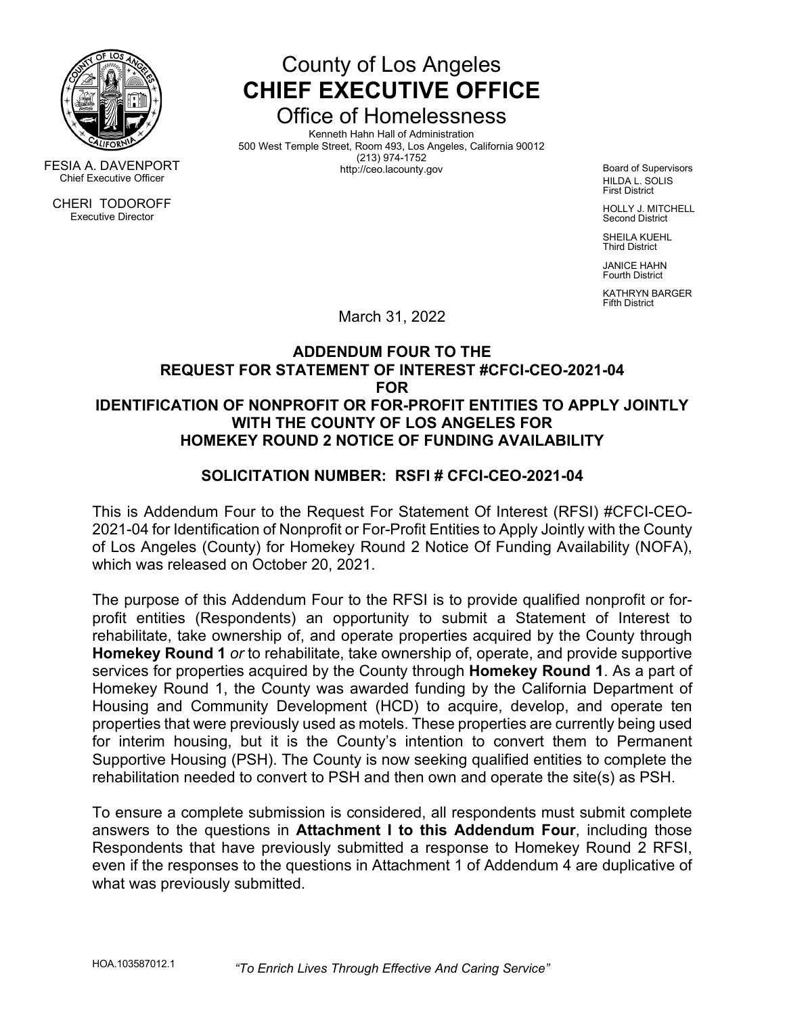

County of Los Angeles **CHIEF EXECUTIVE OFFICE**

Office of Homelessness

Kenneth Hahn Hall of Administration 500 West Temple Street, Room 493, Los Angeles, California 90012 FESIA A. DAVENPORT<br>
Chief Executive Officer<br>
Chief Executive Officer

Board of Supervisors HILDA L. SOLIS First District

HOLLY J. MITCHELL Second District

SHEILA KUEHL Third District

JANICE HAHN Fourth District

KATHRYN BARGER Fifth District

March 31, 2022

## **ADDENDUM FOUR TO THE REQUEST FOR STATEMENT OF INTEREST #CFCI-CEO-2021-04 FOR IDENTIFICATION OF NONPROFIT OR FOR-PROFIT ENTITIES TO APPLY JOINTLY WITH THE COUNTY OF LOS ANGELES FOR HOMEKEY ROUND 2 NOTICE OF FUNDING AVAILABILITY**

# **SOLICITATION NUMBER: RSFI # CFCI-CEO-2021-04**

This is Addendum Four to the Request For Statement Of Interest (RFSI) #CFCI-CEO-2021-04 for Identification of Nonprofit or For-Profit Entities to Apply Jointly with the County of Los Angeles (County) for Homekey Round 2 Notice Of Funding Availability (NOFA), which was released on October 20, 2021.

The purpose of this Addendum Four to the RFSI is to provide qualified nonprofit or forprofit entities (Respondents) an opportunity to submit a Statement of Interest to rehabilitate, take ownership of, and operate properties acquired by the County through **Homekey Round 1** *or* to rehabilitate, take ownership of, operate, and provide supportive services for properties acquired by the County through **Homekey Round 1**. As a part of Homekey Round 1, the County was awarded funding by the California Department of Housing and Community Development (HCD) to acquire, develop, and operate ten properties that were previously used as motels. These properties are currently being used for interim housing, but it is the County's intention to convert them to Permanent Supportive Housing (PSH). The County is now seeking qualified entities to complete the rehabilitation needed to convert to PSH and then own and operate the site(s) as PSH.

To ensure a complete submission is considered, all respondents must submit complete answers to the questions in **Attachment I to this Addendum Four**, including those Respondents that have previously submitted a response to Homekey Round 2 RFSI, even if the responses to the questions in Attachment 1 of Addendum 4 are duplicative of what was previously submitted.

CHERI TODOROFF Executive Director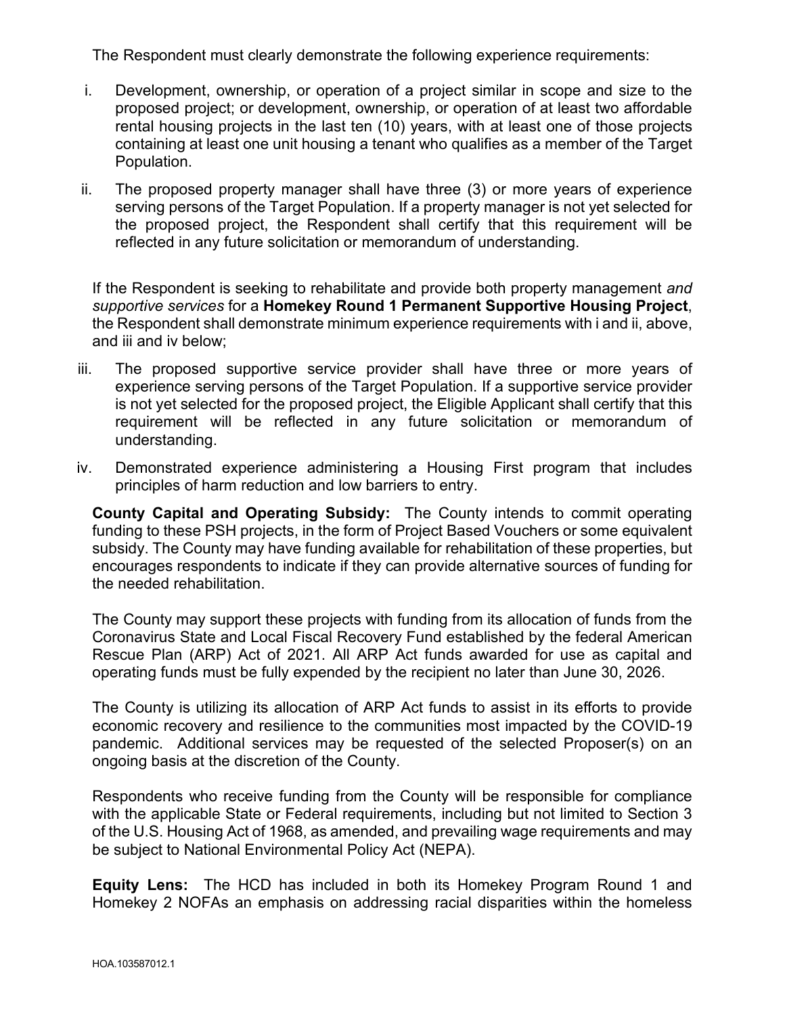The Respondent must clearly demonstrate the following experience requirements:

- i. Development, ownership, or operation of a project similar in scope and size to the proposed project; or development, ownership, or operation of at least two affordable rental housing projects in the last ten (10) years, with at least one of those projects containing at least one unit housing a tenant who qualifies as a member of the Target Population.
- ii. The proposed property manager shall have three (3) or more years of experience serving persons of the Target Population. If a property manager is not yet selected for the proposed project, the Respondent shall certify that this requirement will be reflected in any future solicitation or memorandum of understanding.

If the Respondent is seeking to rehabilitate and provide both property management *and supportive services* for a **Homekey Round 1 Permanent Supportive Housing Project**, the Respondent shall demonstrate minimum experience requirements with i and ii, above, and iii and iv below;

- iii. The proposed supportive service provider shall have three or more years of experience serving persons of the Target Population. If a supportive service provider is not yet selected for the proposed project, the Eligible Applicant shall certify that this requirement will be reflected in any future solicitation or memorandum of understanding.
- iv. Demonstrated experience administering a Housing First program that includes principles of harm reduction and low barriers to entry.

**County Capital and Operating Subsidy:** The County intends to commit operating funding to these PSH projects, in the form of Project Based Vouchers or some equivalent subsidy. The County may have funding available for rehabilitation of these properties, but encourages respondents to indicate if they can provide alternative sources of funding for the needed rehabilitation.

The County may support these projects with funding from its allocation of funds from the Coronavirus State and Local Fiscal Recovery Fund established by the federal American Rescue Plan (ARP) Act of 2021. All ARP Act funds awarded for use as capital and operating funds must be fully expended by the recipient no later than June 30, 2026.

The County is utilizing its allocation of ARP Act funds to assist in its efforts to provide economic recovery and resilience to the communities most impacted by the COVID-19 pandemic. Additional services may be requested of the selected Proposer(s) on an ongoing basis at the discretion of the County.

Respondents who receive funding from the County will be responsible for compliance with the applicable State or Federal requirements, including but not limited to Section 3 of the U.S. Housing Act of 1968, as amended, and prevailing wage requirements and may be subject to National Environmental Policy Act (NEPA).

**Equity Lens:** The HCD has included in both its Homekey Program Round 1 and Homekey 2 NOFAs an emphasis on addressing racial disparities within the homeless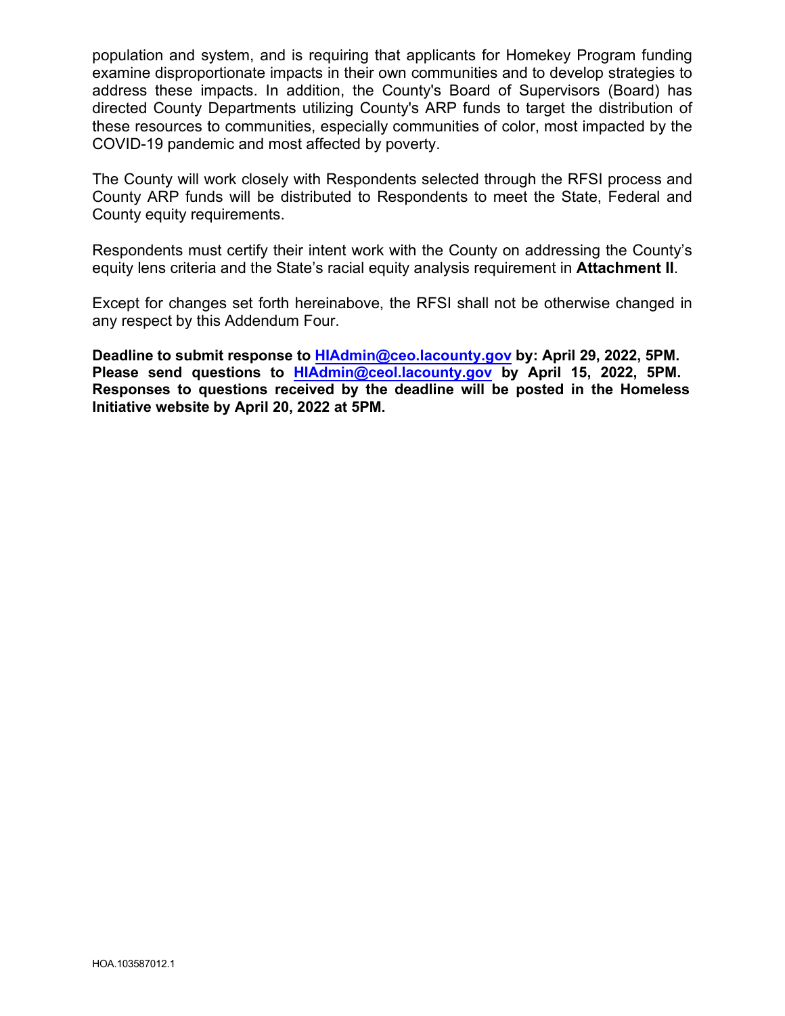population and system, and is requiring that applicants for Homekey Program funding examine disproportionate impacts in their own communities and to develop strategies to address these impacts. In addition, the County's Board of Supervisors (Board) has directed County Departments utilizing County's ARP funds to target the distribution of these resources to communities, especially communities of color, most impacted by the COVID-19 pandemic and most affected by poverty.

The County will work closely with Respondents selected through the RFSI process and County ARP funds will be distributed to Respondents to meet the State, Federal and County equity requirements.

Respondents must certify their intent work with the County on addressing the County's equity lens criteria and the State's racial equity analysis requirement in **Attachment II**.

Except for changes set forth hereinabove, the RFSI shall not be otherwise changed in any respect by this Addendum Four.

**Deadline to submit response to [HIAdmin@ceo.lacounty.gov](mailto:HIAdmin@ceo.lacounty.gov) by: April 29, 2022, 5PM. Please send questions to [HIAdmin@ceol.lacounty.gov](mailto:HIAdmin@ceol.lacounty.gov) by April 15, 2022, 5PM. Responses to questions received by the deadline will be posted in the Homeless Initiative website by April 20, 2022 at 5PM.**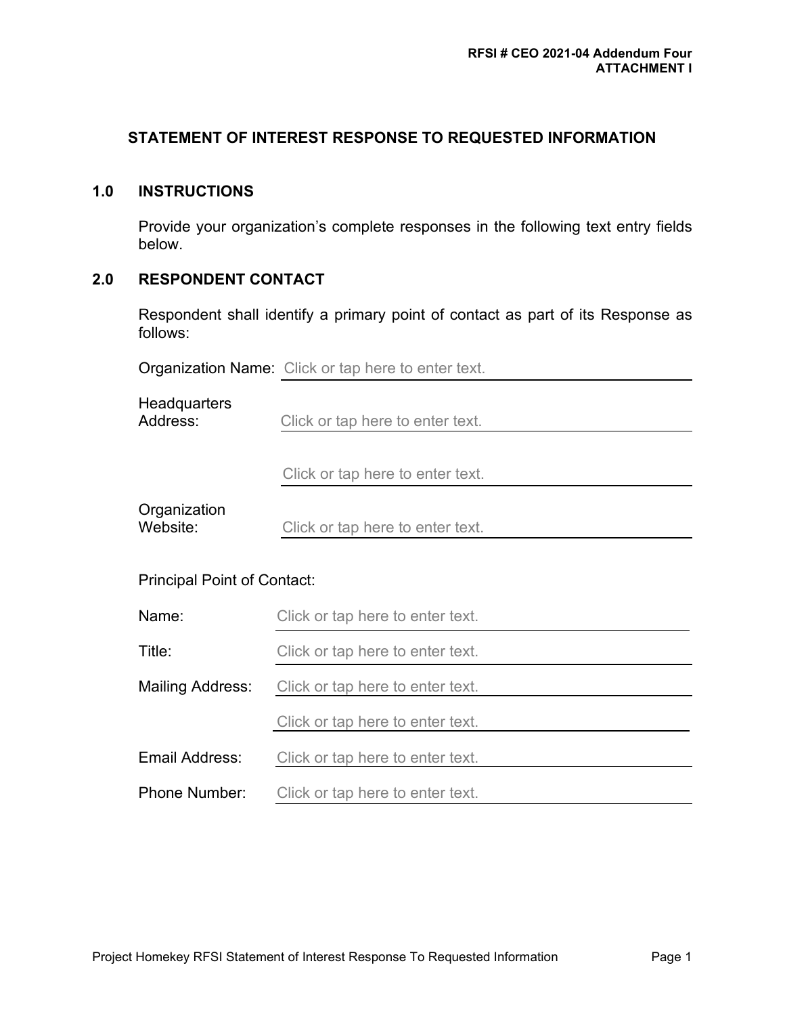## **STATEMENT OF INTEREST RESPONSE TO REQUESTED INFORMATION**

## **1.0 INSTRUCTIONS**

Provide your organization's complete responses in the following text entry fields below.

## **2.0 RESPONDENT CONTACT**

Respondent shall identify a primary point of contact as part of its Response as follows:

|                                    | <b>Organization Name:</b> Click or tap here to enter text. |  |
|------------------------------------|------------------------------------------------------------|--|
| Headquarters<br>Address:           | Click or tap here to enter text.                           |  |
|                                    | Click or tap here to enter text.                           |  |
| Organization<br>Website:           | Click or tap here to enter text.                           |  |
| <b>Principal Point of Contact:</b> |                                                            |  |
| Name:                              | Click or tap here to enter text.                           |  |
| Title:                             | Click or tap here to enter text.                           |  |
| <b>Mailing Address:</b>            | Click or tap here to enter text.                           |  |
|                                    | Click or tap here to enter text.                           |  |
| Email Address:                     | Click or tap here to enter text.                           |  |
| <b>Phone Number:</b>               | Click or tap here to enter text.                           |  |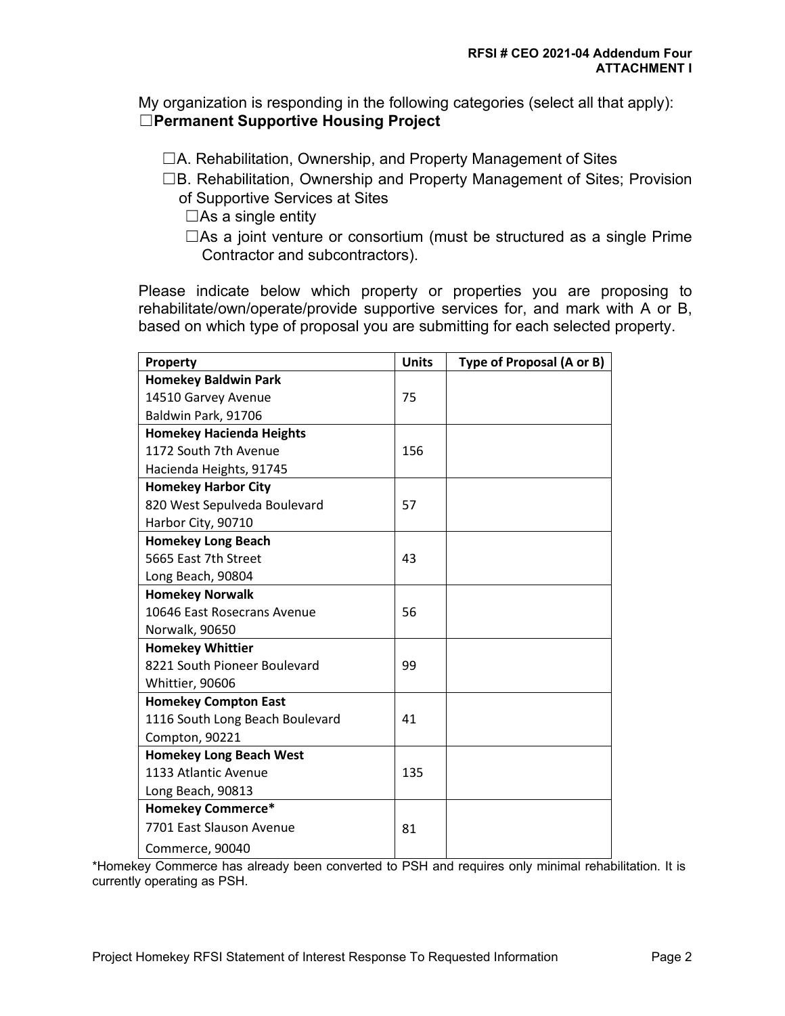My organization is responding in the following categories (select all that apply): ☐**Permanent Supportive Housing Project**

☐A. Rehabilitation, Ownership, and Property Management of Sites

☐B. Rehabilitation, Ownership and Property Management of Sites; Provision of Supportive Services at Sites

 $\Box$ As a single entity

□As a joint venture or consortium (must be structured as a single Prime Contractor and subcontractors).

Please indicate below which property or properties you are proposing to rehabilitate/own/operate/provide supportive services for, and mark with A or B, based on which type of proposal you are submitting for each selected property.

| Property                        | <b>Units</b> | Type of Proposal (A or B) |
|---------------------------------|--------------|---------------------------|
| <b>Homekey Baldwin Park</b>     |              |                           |
| 14510 Garvey Avenue             | 75           |                           |
| Baldwin Park, 91706             |              |                           |
| <b>Homekey Hacienda Heights</b> |              |                           |
| 1172 South 7th Avenue           | 156          |                           |
| Hacienda Heights, 91745         |              |                           |
| <b>Homekey Harbor City</b>      |              |                           |
| 820 West Sepulveda Boulevard    | 57           |                           |
| Harbor City, 90710              |              |                           |
| <b>Homekey Long Beach</b>       |              |                           |
| 5665 East 7th Street            | 43           |                           |
| Long Beach, 90804               |              |                           |
| <b>Homekey Norwalk</b>          |              |                           |
| 10646 East Rosecrans Avenue     | 56           |                           |
| Norwalk, 90650                  |              |                           |
| <b>Homekey Whittier</b>         |              |                           |
| 8221 South Pioneer Boulevard    | 99           |                           |
| Whittier, 90606                 |              |                           |
| <b>Homekey Compton East</b>     |              |                           |
| 1116 South Long Beach Boulevard | 41           |                           |
| Compton, 90221                  |              |                           |
| <b>Homekey Long Beach West</b>  |              |                           |
| 1133 Atlantic Avenue            | 135          |                           |
| Long Beach, 90813               |              |                           |
| <b>Homekey Commerce*</b>        |              |                           |
| 7701 East Slauson Avenue        | 81           |                           |
| Commerce, 90040                 |              |                           |

\*Homekey Commerce has already been converted to PSH and requires only minimal rehabilitation. It is currently operating as PSH.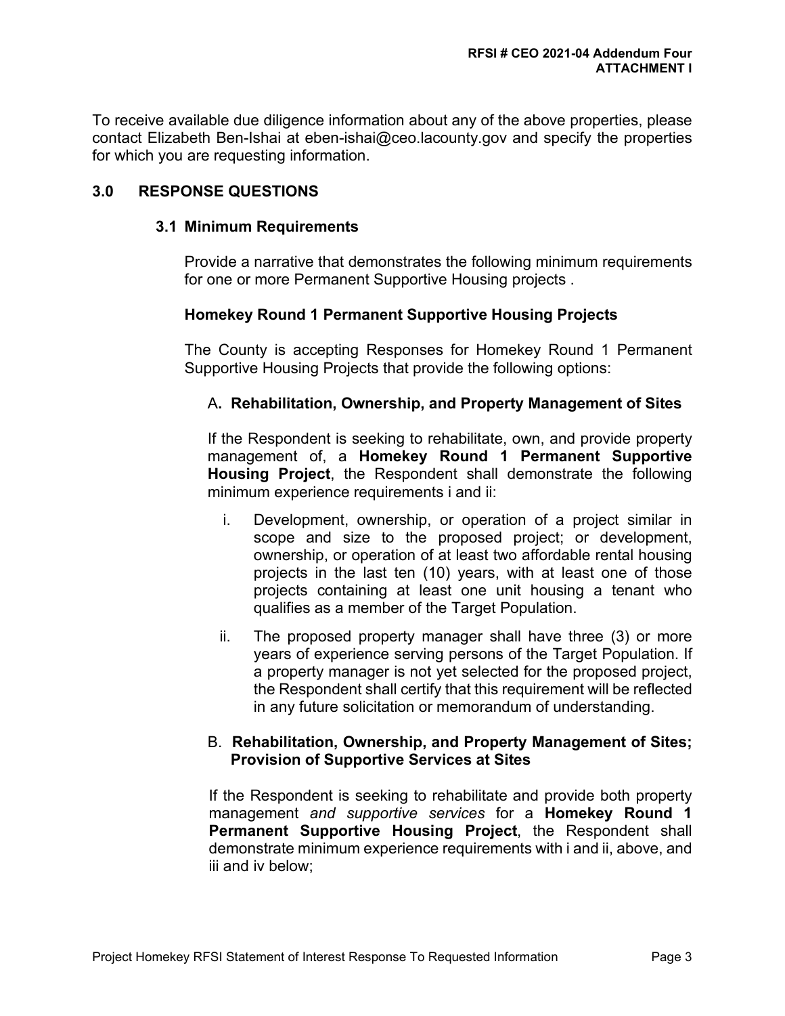To receive available due diligence information about any of the above properties, please contact Elizabeth Ben-Ishai at eben-ishai@ceo.lacounty.gov and specify the properties for which you are requesting information.

## **3.0 RESPONSE QUESTIONS**

#### **3.1 Minimum Requirements**

Provide a narrative that demonstrates the following minimum requirements for one or more Permanent Supportive Housing projects .

## **Homekey Round 1 Permanent Supportive Housing Projects**

The County is accepting Responses for Homekey Round 1 Permanent Supportive Housing Projects that provide the following options:

## A**. Rehabilitation, Ownership, and Property Management of Sites**

If the Respondent is seeking to rehabilitate, own, and provide property management of, a **Homekey Round 1 Permanent Supportive Housing Project**, the Respondent shall demonstrate the following minimum experience requirements i and ii:

- i. Development, ownership, or operation of a project similar in scope and size to the proposed project; or development, ownership, or operation of at least two affordable rental housing projects in the last ten (10) years, with at least one of those projects containing at least one unit housing a tenant who qualifies as a member of the Target Population.
- ii. The proposed property manager shall have three (3) or more years of experience serving persons of the Target Population. If a property manager is not yet selected for the proposed project, the Respondent shall certify that this requirement will be reflected in any future solicitation or memorandum of understanding.

#### B. **Rehabilitation, Ownership, and Property Management of Sites; Provision of Supportive Services at Sites**

If the Respondent is seeking to rehabilitate and provide both property management *and supportive services* for a **Homekey Round 1 Permanent Supportive Housing Project**, the Respondent shall demonstrate minimum experience requirements with i and ii, above, and iii and iv below;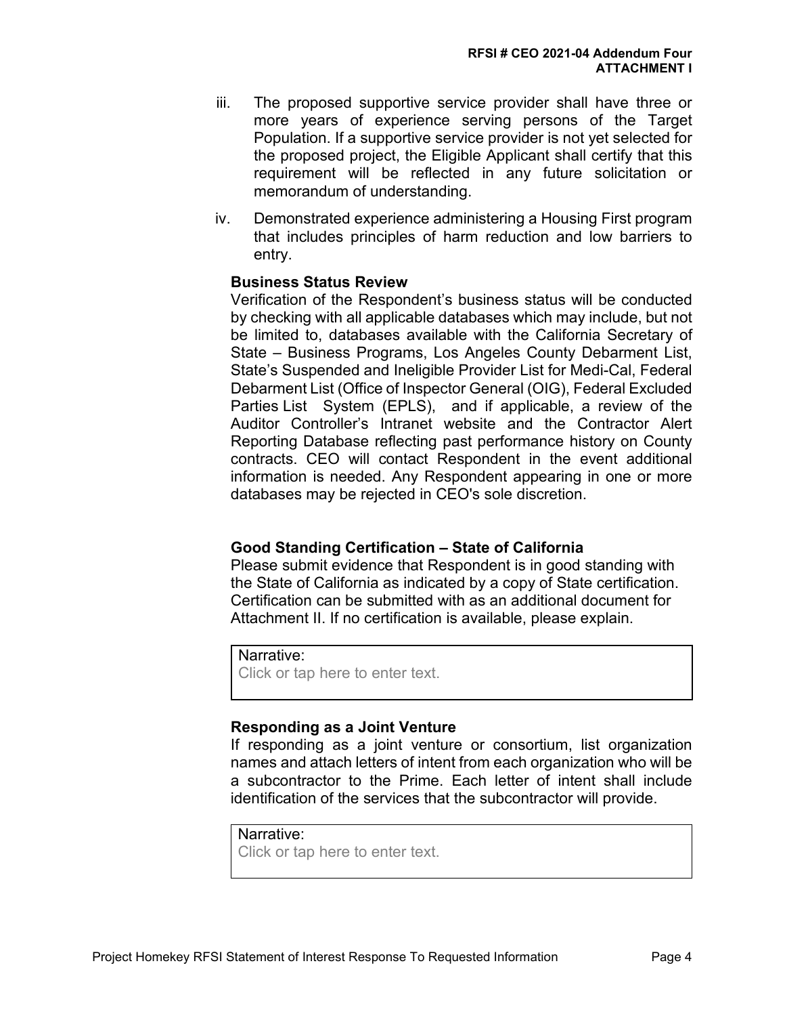- iii. The proposed supportive service provider shall have three or more years of experience serving persons of the Target Population. If a supportive service provider is not yet selected for the proposed project, the Eligible Applicant shall certify that this requirement will be reflected in any future solicitation or memorandum of understanding.
- iv. Demonstrated experience administering a Housing First program that includes principles of harm reduction and low barriers to entry.

#### **Business Status Review**

Verification of the Respondent's business status will be conducted by checking with all applicable databases which may include, but not be limited to, databases available with the California Secretary of State – Business Programs, Los Angeles County Debarment List, State's Suspended and Ineligible Provider List for Medi-Cal, Federal Debarment List (Office of Inspector General (OIG), Federal Excluded Parties List System (EPLS), and if applicable, a review of the Auditor Controller's Intranet website and the Contractor Alert Reporting Database reflecting past performance history on County contracts. CEO will contact Respondent in the event additional information is needed. Any Respondent appearing in one or more databases may be rejected in CEO's sole discretion.

#### **Good Standing Certification – State of California**

Please submit evidence that Respondent is in good standing with the State of California as indicated by a copy of State certification. Certification can be submitted with as an additional document for Attachment II. If no certification is available, please explain.

```
Narrative:
```
Click or tap here to enter text.

#### **Responding as a Joint Venture**

If responding as a joint venture or consortium, list organization names and attach letters of intent from each organization who will be a subcontractor to the Prime. Each letter of intent shall include identification of the services that the subcontractor will provide.

#### Narrative:

Click or tap here to enter text.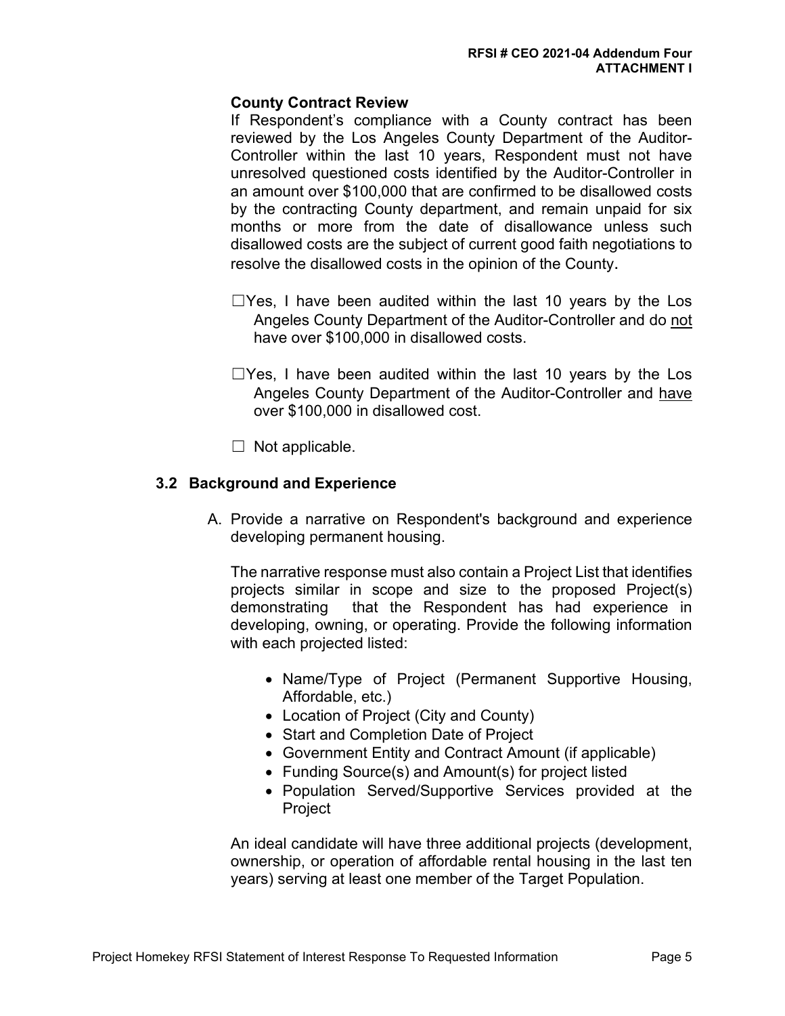## **County Contract Review**

If Respondent's compliance with a County contract has been reviewed by the Los Angeles County Department of the Auditor-Controller within the last 10 years, Respondent must not have unresolved questioned costs identified by the Auditor-Controller in an amount over \$100,000 that are confirmed to be disallowed costs by the contracting County department, and remain unpaid for six months or more from the date of disallowance unless such disallowed costs are the subject of current good faith negotiations to resolve the disallowed costs in the opinion of the County.

- $\Box$ Yes, I have been audited within the last 10 years by the Los Angeles County Department of the Auditor-Controller and do not have over \$100,000 in disallowed costs.
- $\Box$ Yes, I have been audited within the last 10 years by the Los Angeles County Department of the Auditor-Controller and have over \$100,000 in disallowed cost.
- $\Box$  Not applicable.

#### **3.2 Background and Experience**

A. Provide a narrative on Respondent's background and experience developing permanent housing.

The narrative response must also contain a Project List that identifies projects similar in scope and size to the proposed Project(s) demonstrating that the Respondent has had experience in developing, owning, or operating. Provide the following information with each projected listed:

- Name/Type of Project (Permanent Supportive Housing, Affordable, etc.)
- Location of Project (City and County)
- Start and Completion Date of Project
- Government Entity and Contract Amount (if applicable)
- Funding Source(s) and Amount(s) for project listed
- Population Served/Supportive Services provided at the Project

An ideal candidate will have three additional projects (development, ownership, or operation of affordable rental housing in the last ten years) serving at least one member of the Target Population.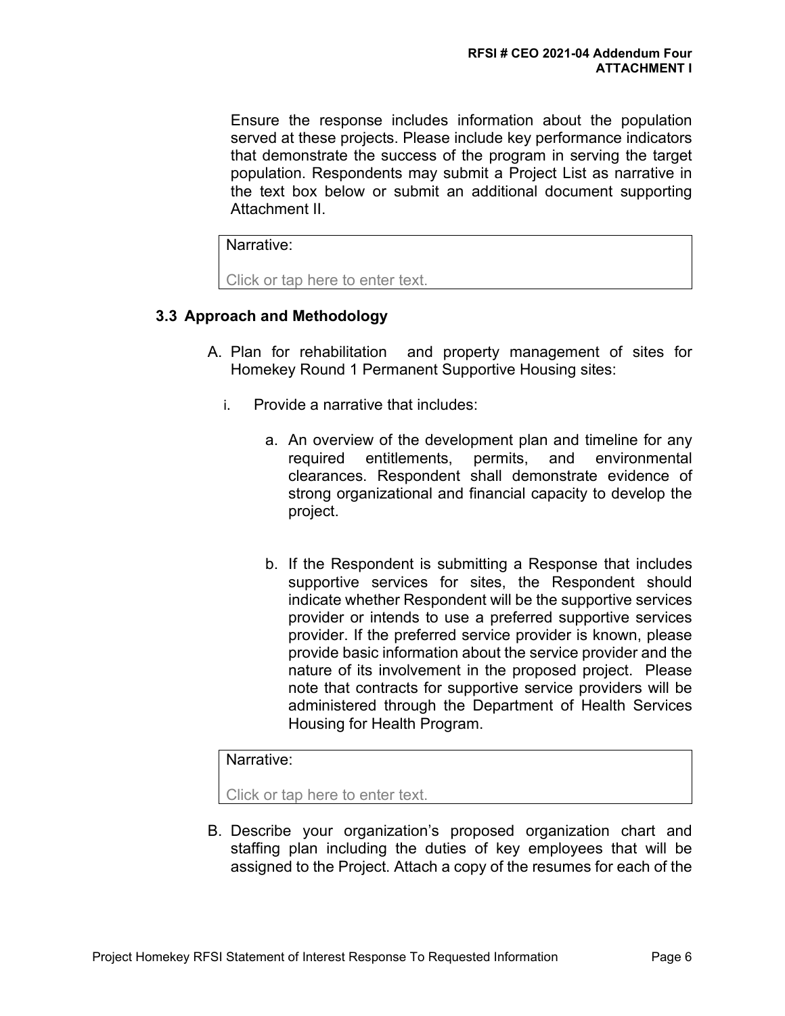Ensure the response includes information about the population served at these projects. Please include key performance indicators that demonstrate the success of the program in serving the target population. Respondents may submit a Project List as narrative in the text box below or submit an additional document supporting Attachment II.

Narrative:

Click or tap here to enter text.

## **3.3 Approach and Methodology**

- A. Plan for rehabilitation and property management of sites for Homekey Round 1 Permanent Supportive Housing sites:
	- i. Provide a narrative that includes:
		- a. An overview of the development plan and timeline for any required entitlements, permits, and environmental clearances. Respondent shall demonstrate evidence of strong organizational and financial capacity to develop the project.
		- b. If the Respondent is submitting a Response that includes supportive services for sites, the Respondent should indicate whether Respondent will be the supportive services provider or intends to use a preferred supportive services provider. If the preferred service provider is known, please provide basic information about the service provider and the nature of its involvement in the proposed project. Please note that contracts for supportive service providers will be administered through the Department of Health Services Housing for Health Program.

#### Narrative:

Click or tap here to enter text.

B. Describe your organization's proposed organization chart and staffing plan including the duties of key employees that will be assigned to the Project. Attach a copy of the resumes for each of the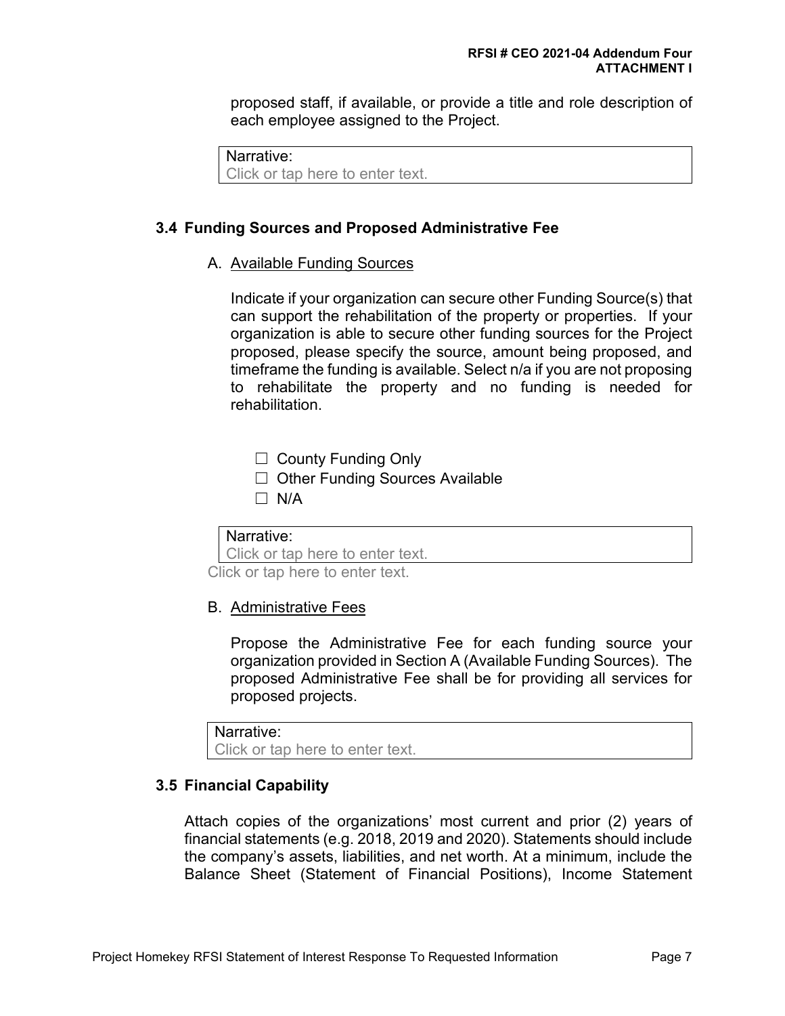proposed staff, if available, or provide a title and role description of each employee assigned to the Project.

Narrative:

Click or tap here to enter text.

#### **3.4 Funding Sources and Proposed Administrative Fee**

#### A. Available Funding Sources

Indicate if your organization can secure other Funding Source(s) that can support the rehabilitation of the property or properties. If your organization is able to secure other funding sources for the Project proposed, please specify the source, amount being proposed, and timeframe the funding is available. Select n/a if you are not proposing to rehabilitate the property and no funding is needed for rehabilitation.

☐ County Funding Only

- ☐ Other Funding Sources Available
- $\Box$  N/A

Narrative:

Click or tap here to enter text.

Click or tap here to enter text.

#### B. Administrative Fees

Propose the Administrative Fee for each funding source your organization provided in Section A (Available Funding Sources). The proposed Administrative Fee shall be for providing all services for proposed projects.

```
Narrative:
```
Click or tap here to enter text.

#### **3.5 Financial Capability**

Attach copies of the organizations' most current and prior (2) years of financial statements (e.g. 2018, 2019 and 2020). Statements should include the company's assets, liabilities, and net worth. At a minimum, include the Balance Sheet (Statement of Financial Positions), Income Statement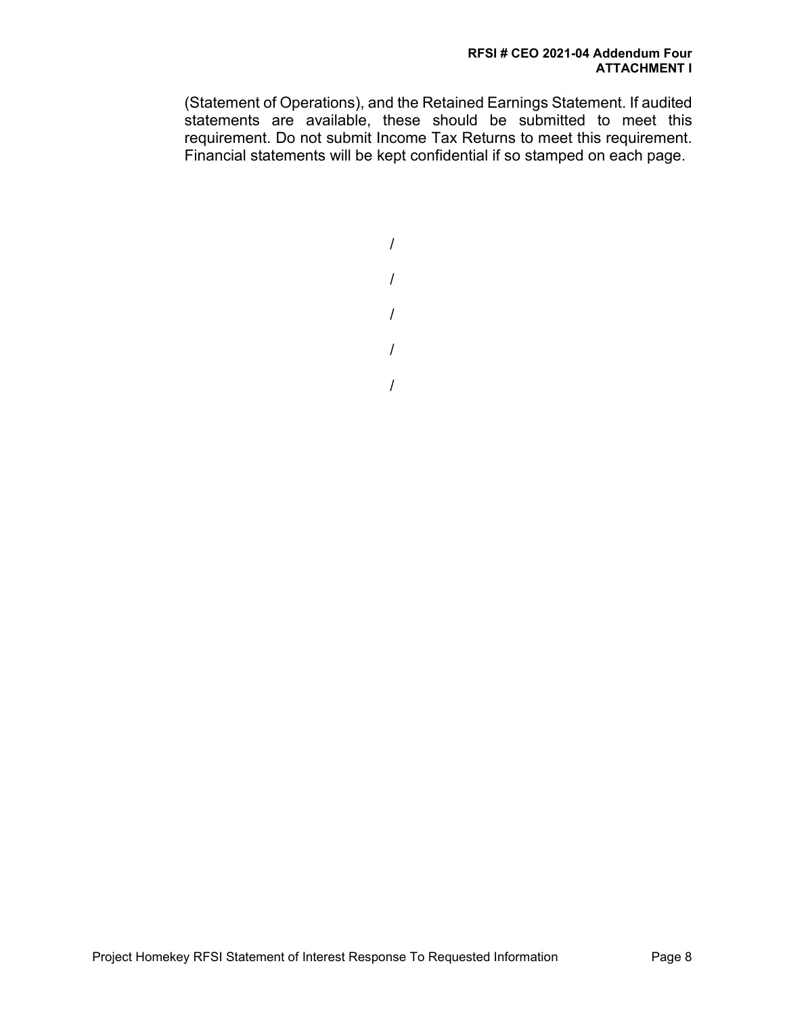(Statement of Operations), and the Retained Earnings Statement. If audited statements are available, these should be submitted to meet this requirement. Do not submit Income Tax Returns to meet this requirement. Financial statements will be kept confidential if so stamped on each page.

> / / / /

/